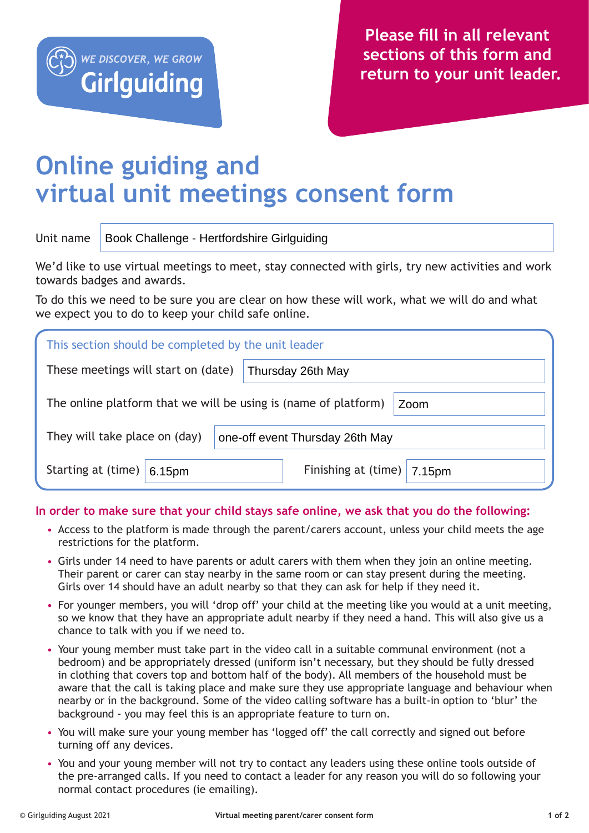

## **Online guiding and virtual unit meetings consent form**

## Unit name Book Challenge - Hertfordshire Girlguiding

We'd like to use virtual meetings to meet, stay connected with girls, try new activities and work towards badges and awards.

To do this we need to be sure you are clear on how these will work, what we will do and what we expect you to do to keep your child safe online.

| This section should be completed by the unit leader                     |                                       |  |  |
|-------------------------------------------------------------------------|---------------------------------------|--|--|
| These meetings will start on (date)                                     | Thursday 26th May                     |  |  |
| The online platform that we will be using is (name of platform)<br>Zoom |                                       |  |  |
| They will take place on (day)                                           | one-off event Thursday 26th May       |  |  |
| Starting at (time) $ $<br>6.15pm                                        | Finishing at (time) $\vert$<br>7.15pm |  |  |

**In order to make sure that your child stays safe online, we ask that you do the following:**

- Access to the platform is made through the parent/carers account, unless your child meets the age restrictions for the platform.
- Girls under 14 need to have parents or adult carers with them when they join an online meeting. Their parent or carer can stay nearby in the same room or can stay present during the meeting. Girls over 14 should have an adult nearby so that they can ask for help if they need it.
- For younger members, you will 'drop off' your child at the meeting like you would at a unit meeting, so we know that they have an appropriate adult nearby if they need a hand. This will also give us a chance to talk with you if we need to.
- Your young member must take part in the video call in a suitable communal environment (not a bedroom) and be appropriately dressed (uniform isn't necessary, but they should be fully dressed in clothing that covers top and bottom half of the body). All members of the household must be aware that the call is taking place and make sure they use appropriate language and behaviour when nearby or in the background. Some of the video calling software has a built-in option to 'blur' the background - you may feel this is an appropriate feature to turn on.
- You will make sure your young member has 'logged off' the call correctly and signed out before turning off any devices.
- You and your young member will not try to contact any leaders using these online tools outside of the pre-arranged calls. If you need to contact a leader for any reason you will do so following your normal contact procedures (ie emailing).